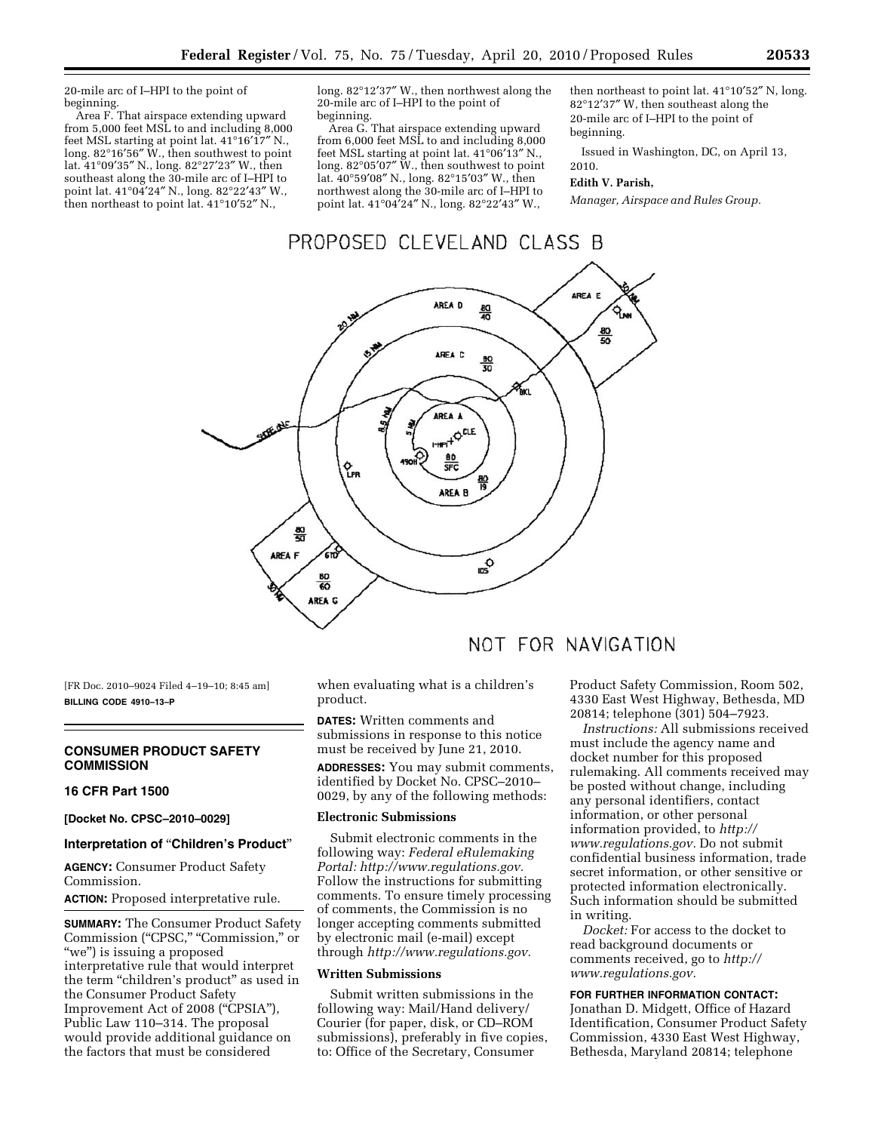20-mile arc of I–HPI to the point of beginning.

Area F. That airspace extending upward from 5,000 feet MSL to and including 8,000 feet MSL starting at point lat. 41°16′17″ N., long. 82°16′56″ W., then southwest to point lat. 41°09′35″ N., long. 82°27′23″ W., then southeast along the 30-mile arc of I–HPI to point lat. 41°04′24″ N., long. 82°22′43″ W., then northeast to point lat. 41°10′52″ N.,

long. 82°12′37″ W., then northwest along the 20-mile arc of I–HPI to the point of beginning.

Area G. That airspace extending upward from 6,000 feet MSL to and including 8,000 feet MSL starting at point lat. 41°06′13″ N., long. 82°05′07″ W., then southwest to point lat. 40°59′08″ N., long. 82°15′03″ W., then northwest along the 30-mile arc of I–HPI to point lat. 41°04′24″ N., long. 82°22′43″ W.,

then northeast to point lat. 41°10′52″ N, long. 82°12′37″ W, then southeast along the 20-mile arc of I–HPI to the point of beginning.

Issued in Washington, DC, on April 13, 2010.

# **Edith V. Parish,**

*Manager, Airspace and Rules Group.* 

# PROPOSED CLEVELAND CLASS B



[FR Doc. 2010–9024 Filed 4–19–10; 8:45 am] **BILLING CODE 4910–13–P** 

# **CONSUMER PRODUCT SAFETY COMMISSION**

#### **16 CFR Part 1500**

**[Docket No. CPSC–2010–0029]** 

#### **Interpretation of** ''**Children's Product**''

**AGENCY:** Consumer Product Safety Commission.

**ACTION:** Proposed interpretative rule.

**SUMMARY:** The Consumer Product Safety Commission (''CPSC,'' ''Commission,'' or "we") is issuing a proposed interpretative rule that would interpret the term "children's product" as used in the Consumer Product Safety Improvement Act of 2008 (''CPSIA''), Public Law 110–314. The proposal would provide additional guidance on the factors that must be considered

when evaluating what is a children's product.

**DATES:** Written comments and submissions in response to this notice must be received by June 21, 2010.

**ADDRESSES:** You may submit comments, identified by Docket No. CPSC–2010– 0029, by any of the following methods:

#### **Electronic Submissions**

Submit electronic comments in the following way: *Federal eRulemaking Portal: http://www.regulations.gov.*  Follow the instructions for submitting comments. To ensure timely processing of comments, the Commission is no longer accepting comments submitted by electronic mail (e-mail) except through *http://www.regulations.gov.* 

# **Written Submissions**

Submit written submissions in the following way: Mail/Hand delivery/ Courier (for paper, disk, or CD–ROM submissions), preferably in five copies, to: Office of the Secretary, Consumer

Product Safety Commission, Room 502, 4330 East West Highway, Bethesda, MD 20814; telephone (301) 504–7923.

*Instructions:* All submissions received must include the agency name and docket number for this proposed rulemaking. All comments received may be posted without change, including any personal identifiers, contact information, or other personal information provided, to *http:// www.regulations.gov.* Do not submit confidential business information, trade secret information, or other sensitive or protected information electronically. Such information should be submitted in writing.

*Docket:* For access to the docket to read background documents or comments received, go to *http:// www.regulations.gov.* 

#### **FOR FURTHER INFORMATION CONTACT:**

Jonathan D. Midgett, Office of Hazard Identification, Consumer Product Safety Commission, 4330 East West Highway, Bethesda, Maryland 20814; telephone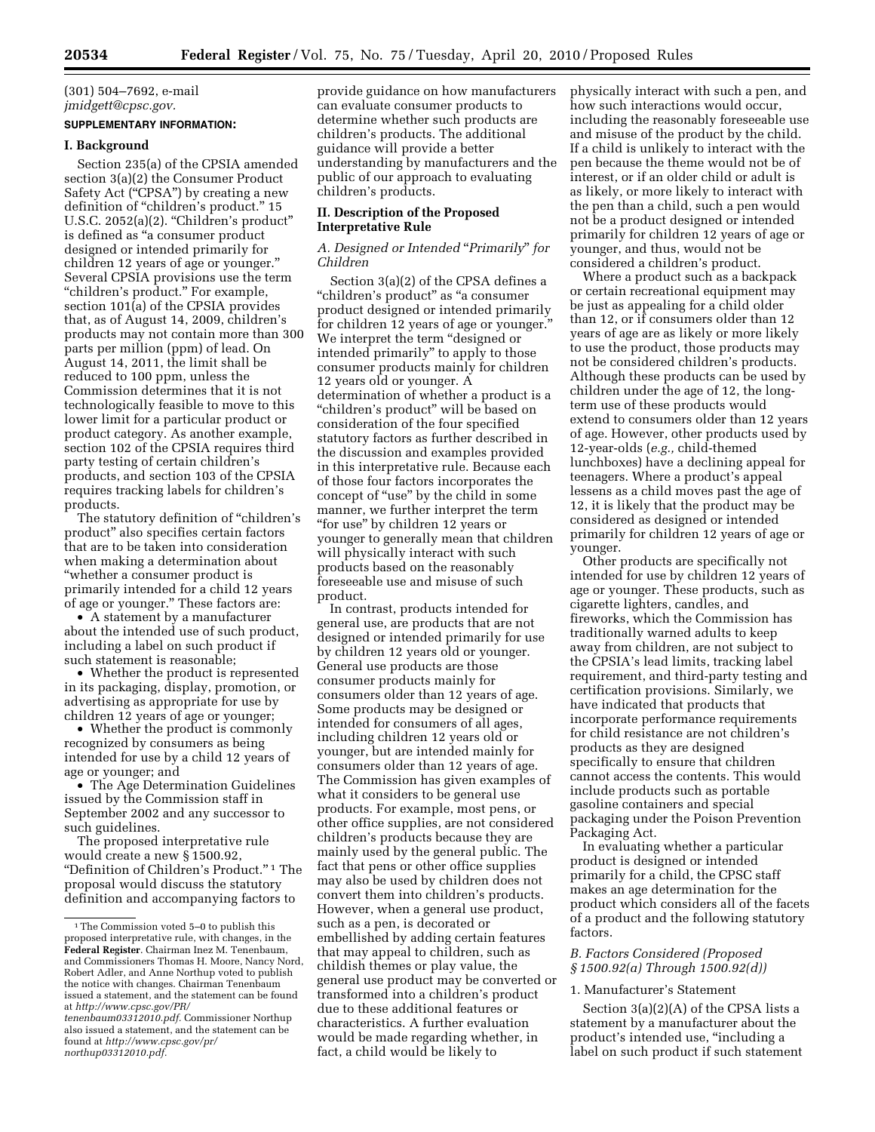# (301) 504–7692, e-mail *jmidgett@cpsc.gov.*

# **SUPPLEMENTARY INFORMATION:**

#### **I. Background**

Section 235(a) of the CPSIA amended section 3(a)(2) the Consumer Product Safety Act ("CPSA") by creating a new definition of "children's product." 15 U.S.C. 2052(a)(2). "Children's product" is defined as ''a consumer product designed or intended primarily for children 12 years of age or younger.'' Several CPSIA provisions use the term "children's product." For example, section 101(a) of the CPSIA provides that, as of August 14, 2009, children's products may not contain more than 300 parts per million (ppm) of lead. On August 14, 2011, the limit shall be reduced to 100 ppm, unless the Commission determines that it is not technologically feasible to move to this lower limit for a particular product or product category. As another example, section 102 of the CPSIA requires third party testing of certain children's products, and section 103 of the CPSIA requires tracking labels for children's products.

The statutory definition of ''children's product'' also specifies certain factors that are to be taken into consideration when making a determination about ''whether a consumer product is primarily intended for a child 12 years of age or younger.'' These factors are:

• A statement by a manufacturer about the intended use of such product, including a label on such product if such statement is reasonable;

• Whether the product is represented in its packaging, display, promotion, or advertising as appropriate for use by children 12 years of age or younger;

• Whether the product is commonly recognized by consumers as being intended for use by a child 12 years of age or younger; and

• The Age Determination Guidelines issued by the Commission staff in September 2002 and any successor to such guidelines.

The proposed interpretative rule would create a new § 1500.92, "Definition of Children's Product."<sup>1</sup> The proposal would discuss the statutory definition and accompanying factors to

provide guidance on how manufacturers can evaluate consumer products to determine whether such products are children's products. The additional guidance will provide a better understanding by manufacturers and the public of our approach to evaluating children's products.

# **II. Description of the Proposed Interpretative Rule**

# *A. Designed or Intended* ''*Primarily*'' *for Children*

Section 3(a)(2) of the CPSA defines a "children's product" as "a consumer product designed or intended primarily for children 12 years of age or younger.'' We interpret the term "designed or intended primarily'' to apply to those consumer products mainly for children 12 years old or younger. A determination of whether a product is a ''children's product'' will be based on consideration of the four specified statutory factors as further described in the discussion and examples provided in this interpretative rule. Because each of those four factors incorporates the concept of ''use'' by the child in some manner, we further interpret the term ''for use'' by children 12 years or younger to generally mean that children will physically interact with such products based on the reasonably foreseeable use and misuse of such product.

In contrast, products intended for general use, are products that are not designed or intended primarily for use by children 12 years old or younger. General use products are those consumer products mainly for consumers older than 12 years of age. Some products may be designed or intended for consumers of all ages, including children 12 years old or younger, but are intended mainly for consumers older than 12 years of age. The Commission has given examples of what it considers to be general use products. For example, most pens, or other office supplies, are not considered children's products because they are mainly used by the general public. The fact that pens or other office supplies may also be used by children does not convert them into children's products. However, when a general use product, such as a pen, is decorated or embellished by adding certain features that may appeal to children, such as childish themes or play value, the general use product may be converted or transformed into a children's product due to these additional features or characteristics. A further evaluation would be made regarding whether, in fact, a child would be likely to

physically interact with such a pen, and how such interactions would occur, including the reasonably foreseeable use and misuse of the product by the child. If a child is unlikely to interact with the pen because the theme would not be of interest, or if an older child or adult is as likely, or more likely to interact with the pen than a child, such a pen would not be a product designed or intended primarily for children 12 years of age or younger, and thus, would not be considered a children's product.

Where a product such as a backpack or certain recreational equipment may be just as appealing for a child older than 12, or if consumers older than 12 years of age are as likely or more likely to use the product, those products may not be considered children's products. Although these products can be used by children under the age of 12, the longterm use of these products would extend to consumers older than 12 years of age. However, other products used by 12-year-olds (*e.g.,* child-themed lunchboxes) have a declining appeal for teenagers. Where a product's appeal lessens as a child moves past the age of 12, it is likely that the product may be considered as designed or intended primarily for children 12 years of age or younger.

Other products are specifically not intended for use by children 12 years of age or younger. These products, such as cigarette lighters, candles, and fireworks, which the Commission has traditionally warned adults to keep away from children, are not subject to the CPSIA's lead limits, tracking label requirement, and third-party testing and certification provisions. Similarly, we have indicated that products that incorporate performance requirements for child resistance are not children's products as they are designed specifically to ensure that children cannot access the contents. This would include products such as portable gasoline containers and special packaging under the Poison Prevention Packaging Act.

In evaluating whether a particular product is designed or intended primarily for a child, the CPSC staff makes an age determination for the product which considers all of the facets of a product and the following statutory factors.

# *B. Factors Considered (Proposed § 1500.92(a) Through 1500.92(d))*

#### 1. Manufacturer's Statement

Section 3(a)(2)(A) of the CPSA lists a statement by a manufacturer about the product's intended use, ''including a label on such product if such statement

 $^{\rm 1}\!$  The Commission voted 5–0 to publish this proposed interpretative rule, with changes, in the **Federal Register**. Chairman Inez M. Tenenbaum, and Commissioners Thomas H. Moore, Nancy Nord, Robert Adler, and Anne Northup voted to publish the notice with changes. Chairman Tenenbaum issued a statement, and the statement can be found at *http://www.cpsc.gov/PR/* 

*tenenbaum03312010.pdf.* Commissioner Northup also issued a statement, and the statement can be found at *http://www.cpsc.gov/pr/ northup03312010.pdf.*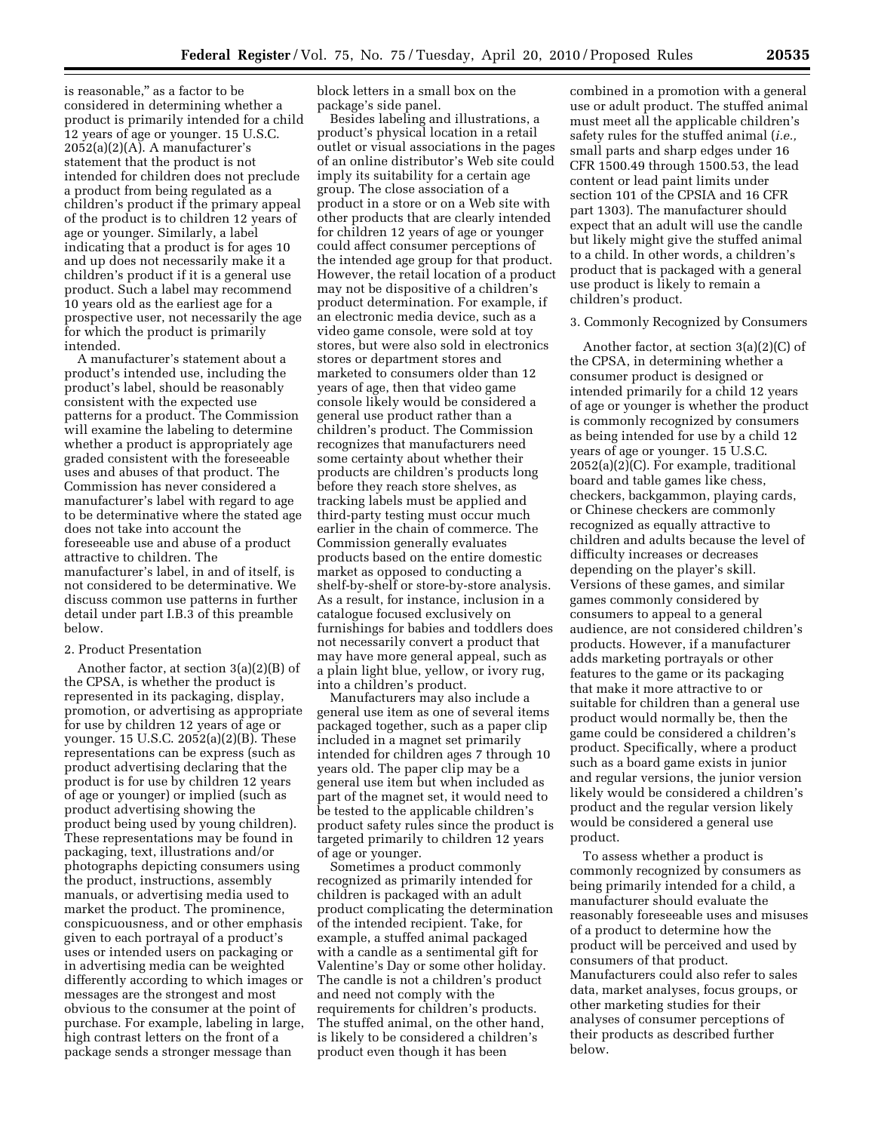is reasonable,'' as a factor to be considered in determining whether a product is primarily intended for a child 12 years of age or younger. 15 U.S.C.  $2052(a)(2)(A)$ . A manufacturer's statement that the product is not intended for children does not preclude a product from being regulated as a children's product if the primary appeal of the product is to children 12 years of age or younger. Similarly, a label indicating that a product is for ages 10 and up does not necessarily make it a children's product if it is a general use product. Such a label may recommend 10 years old as the earliest age for a prospective user, not necessarily the age for which the product is primarily intended.

A manufacturer's statement about a product's intended use, including the product's label, should be reasonably consistent with the expected use patterns for a product. The Commission will examine the labeling to determine whether a product is appropriately age graded consistent with the foreseeable uses and abuses of that product. The Commission has never considered a manufacturer's label with regard to age to be determinative where the stated age does not take into account the foreseeable use and abuse of a product attractive to children. The manufacturer's label, in and of itself, is not considered to be determinative. We discuss common use patterns in further detail under part I.B.3 of this preamble below.

# 2. Product Presentation

Another factor, at section 3(a)(2)(B) of the CPSA, is whether the product is represented in its packaging, display, promotion, or advertising as appropriate for use by children 12 years of age or younger. 15 U.S.C. 2052(a)(2)(B). These representations can be express (such as product advertising declaring that the product is for use by children 12 years of age or younger) or implied (such as product advertising showing the product being used by young children). These representations may be found in packaging, text, illustrations and/or photographs depicting consumers using the product, instructions, assembly manuals, or advertising media used to market the product. The prominence, conspicuousness, and or other emphasis given to each portrayal of a product's uses or intended users on packaging or in advertising media can be weighted differently according to which images or messages are the strongest and most obvious to the consumer at the point of purchase. For example, labeling in large, high contrast letters on the front of a package sends a stronger message than

block letters in a small box on the package's side panel.

Besides labeling and illustrations, a product's physical location in a retail outlet or visual associations in the pages of an online distributor's Web site could imply its suitability for a certain age group. The close association of a product in a store or on a Web site with other products that are clearly intended for children 12 years of age or younger could affect consumer perceptions of the intended age group for that product. However, the retail location of a product may not be dispositive of a children's product determination. For example, if an electronic media device, such as a video game console, were sold at toy stores, but were also sold in electronics stores or department stores and marketed to consumers older than 12 years of age, then that video game console likely would be considered a general use product rather than a children's product. The Commission recognizes that manufacturers need some certainty about whether their products are children's products long before they reach store shelves, as tracking labels must be applied and third-party testing must occur much earlier in the chain of commerce. The Commission generally evaluates products based on the entire domestic market as opposed to conducting a shelf-by-shelf or store-by-store analysis. As a result, for instance, inclusion in a catalogue focused exclusively on furnishings for babies and toddlers does not necessarily convert a product that may have more general appeal, such as a plain light blue, yellow, or ivory rug, into a children's product.

Manufacturers may also include a general use item as one of several items packaged together, such as a paper clip included in a magnet set primarily intended for children ages 7 through 10 years old. The paper clip may be a general use item but when included as part of the magnet set, it would need to be tested to the applicable children's product safety rules since the product is targeted primarily to children 12 years of age or younger.

Sometimes a product commonly recognized as primarily intended for children is packaged with an adult product complicating the determination of the intended recipient. Take, for example, a stuffed animal packaged with a candle as a sentimental gift for Valentine's Day or some other holiday. The candle is not a children's product and need not comply with the requirements for children's products. The stuffed animal, on the other hand, is likely to be considered a children's product even though it has been

combined in a promotion with a general use or adult product. The stuffed animal must meet all the applicable children's safety rules for the stuffed animal (*i.e.,*  small parts and sharp edges under 16 CFR 1500.49 through 1500.53, the lead content or lead paint limits under section 101 of the CPSIA and 16 CFR part 1303). The manufacturer should expect that an adult will use the candle but likely might give the stuffed animal to a child. In other words, a children's product that is packaged with a general use product is likely to remain a children's product.

#### 3. Commonly Recognized by Consumers

Another factor, at section 3(a)(2)(C) of the CPSA, in determining whether a consumer product is designed or intended primarily for a child 12 years of age or younger is whether the product is commonly recognized by consumers as being intended for use by a child 12 years of age or younger. 15 U.S.C. 2052(a)(2)(C). For example, traditional board and table games like chess, checkers, backgammon, playing cards, or Chinese checkers are commonly recognized as equally attractive to children and adults because the level of difficulty increases or decreases depending on the player's skill. Versions of these games, and similar games commonly considered by consumers to appeal to a general audience, are not considered children's products. However, if a manufacturer adds marketing portrayals or other features to the game or its packaging that make it more attractive to or suitable for children than a general use product would normally be, then the game could be considered a children's product. Specifically, where a product such as a board game exists in junior and regular versions, the junior version likely would be considered a children's product and the regular version likely would be considered a general use product.

To assess whether a product is commonly recognized by consumers as being primarily intended for a child, a manufacturer should evaluate the reasonably foreseeable uses and misuses of a product to determine how the product will be perceived and used by consumers of that product. Manufacturers could also refer to sales data, market analyses, focus groups, or other marketing studies for their analyses of consumer perceptions of their products as described further below.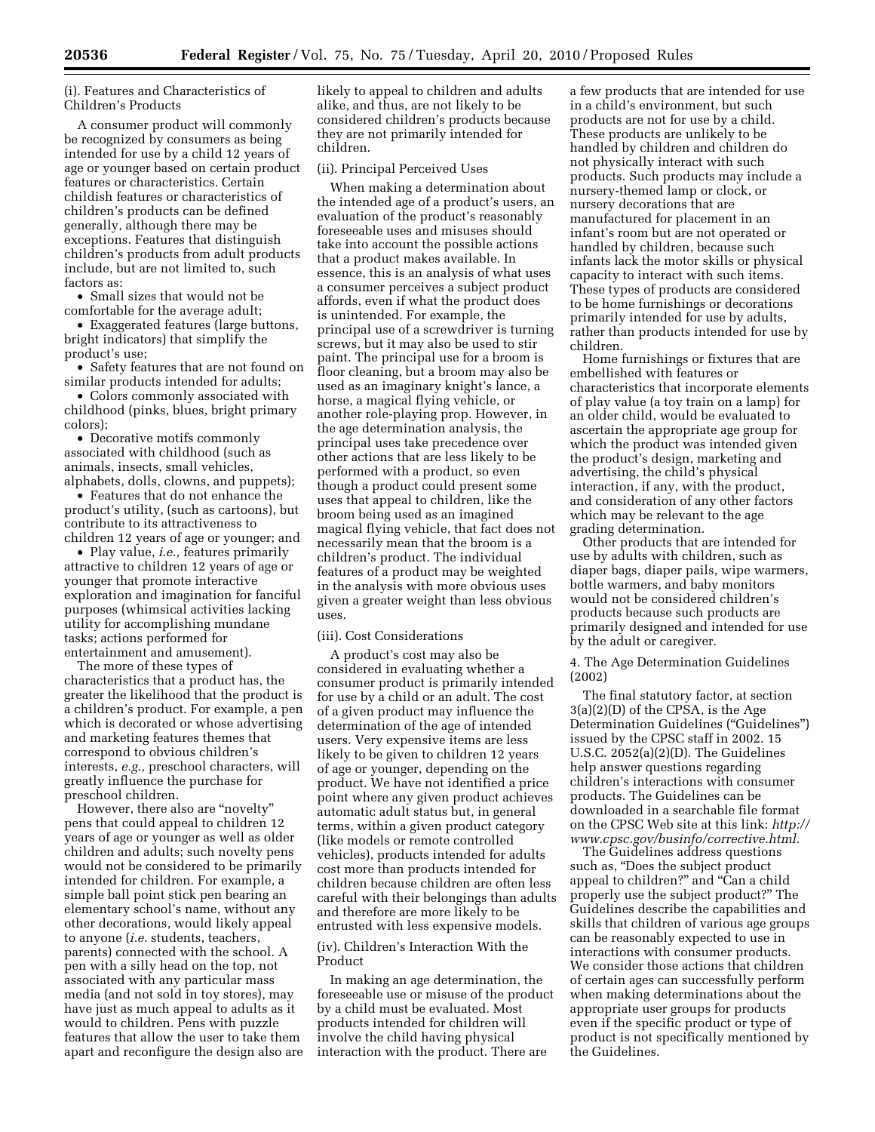# (i). Features and Characteristics of Children's Products

A consumer product will commonly be recognized by consumers as being intended for use by a child 12 years of age or younger based on certain product features or characteristics. Certain childish features or characteristics of children's products can be defined generally, although there may be exceptions. Features that distinguish children's products from adult products include, but are not limited to, such factors as:

• Small sizes that would not be comfortable for the average adult;

• Exaggerated features (large buttons, bright indicators) that simplify the product's use;

• Safety features that are not found on similar products intended for adults;

• Colors commonly associated with childhood (pinks, blues, bright primary colors);

• Decorative motifs commonly associated with childhood (such as animals, insects, small vehicles, alphabets, dolls, clowns, and puppets);

• Features that do not enhance the product's utility, (such as cartoons), but contribute to its attractiveness to children 12 years of age or younger; and

• Play value, *i.e.,* features primarily attractive to children 12 years of age or younger that promote interactive exploration and imagination for fanciful purposes (whimsical activities lacking utility for accomplishing mundane tasks; actions performed for entertainment and amusement).

The more of these types of characteristics that a product has, the greater the likelihood that the product is a children's product. For example, a pen which is decorated or whose advertising and marketing features themes that correspond to obvious children's interests, *e.g.,* preschool characters, will greatly influence the purchase for preschool children.

However, there also are "novelty" pens that could appeal to children 12 years of age or younger as well as older children and adults; such novelty pens would not be considered to be primarily intended for children. For example, a simple ball point stick pen bearing an elementary school's name, without any other decorations, would likely appeal to anyone (*i.e.* students, teachers, parents) connected with the school. A pen with a silly head on the top, not associated with any particular mass media (and not sold in toy stores), may have just as much appeal to adults as it would to children. Pens with puzzle features that allow the user to take them apart and reconfigure the design also are likely to appeal to children and adults alike, and thus, are not likely to be considered children's products because they are not primarily intended for children.

### (ii). Principal Perceived Uses

When making a determination about the intended age of a product's users, an evaluation of the product's reasonably foreseeable uses and misuses should take into account the possible actions that a product makes available. In essence, this is an analysis of what uses a consumer perceives a subject product affords, even if what the product does is unintended. For example, the principal use of a screwdriver is turning screws, but it may also be used to stir paint. The principal use for a broom is floor cleaning, but a broom may also be used as an imaginary knight's lance, a horse, a magical flying vehicle, or another role-playing prop. However, in the age determination analysis, the principal uses take precedence over other actions that are less likely to be performed with a product, so even though a product could present some uses that appeal to children, like the broom being used as an imagined magical flying vehicle, that fact does not necessarily mean that the broom is a children's product. The individual features of a product may be weighted in the analysis with more obvious uses given a greater weight than less obvious uses.

#### (iii). Cost Considerations

A product's cost may also be considered in evaluating whether a consumer product is primarily intended for use by a child or an adult. The cost of a given product may influence the determination of the age of intended users. Very expensive items are less likely to be given to children 12 years of age or younger, depending on the product. We have not identified a price point where any given product achieves automatic adult status but, in general terms, within a given product category (like models or remote controlled vehicles), products intended for adults cost more than products intended for children because children are often less careful with their belongings than adults and therefore are more likely to be entrusted with less expensive models.

(iv). Children's Interaction With the Product

In making an age determination, the foreseeable use or misuse of the product by a child must be evaluated. Most products intended for children will involve the child having physical interaction with the product. There are

a few products that are intended for use in a child's environment, but such products are not for use by a child. These products are unlikely to be handled by children and children do not physically interact with such products. Such products may include a nursery-themed lamp or clock, or nursery decorations that are manufactured for placement in an infant's room but are not operated or handled by children, because such infants lack the motor skills or physical capacity to interact with such items. These types of products are considered to be home furnishings or decorations primarily intended for use by adults, rather than products intended for use by children.

Home furnishings or fixtures that are embellished with features or characteristics that incorporate elements of play value (a toy train on a lamp) for an older child, would be evaluated to ascertain the appropriate age group for which the product was intended given the product's design, marketing and advertising, the child's physical interaction, if any, with the product, and consideration of any other factors which may be relevant to the age grading determination.

Other products that are intended for use by adults with children, such as diaper bags, diaper pails, wipe warmers, bottle warmers, and baby monitors would not be considered children's products because such products are primarily designed and intended for use by the adult or caregiver.

4. The Age Determination Guidelines (2002)

The final statutory factor, at section 3(a)(2)(D) of the CPSA, is the Age Determination Guidelines (''Guidelines'') issued by the CPSC staff in 2002. 15 U.S.C. 2052(a)(2)(D). The Guidelines help answer questions regarding children's interactions with consumer products. The Guidelines can be downloaded in a searchable file format on the CPSC Web site at this link: *http:// www.cpsc.gov/businfo/corrective.html.* 

The Guidelines address questions such as, ''Does the subject product appeal to children?" and "Can a child properly use the subject product?'' The Guidelines describe the capabilities and skills that children of various age groups can be reasonably expected to use in interactions with consumer products. We consider those actions that children of certain ages can successfully perform when making determinations about the appropriate user groups for products even if the specific product or type of product is not specifically mentioned by the Guidelines.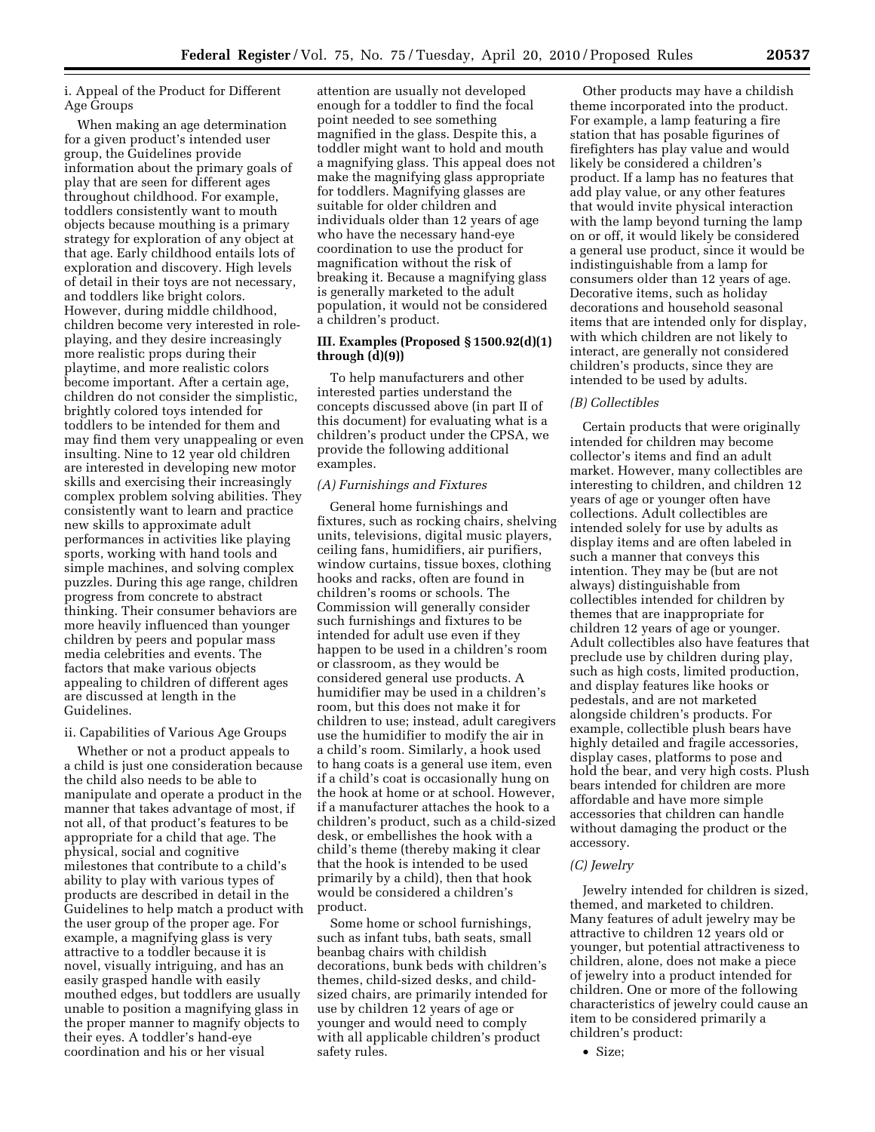i. Appeal of the Product for Different Age Groups

When making an age determination for a given product's intended user group, the Guidelines provide information about the primary goals of play that are seen for different ages throughout childhood. For example, toddlers consistently want to mouth objects because mouthing is a primary strategy for exploration of any object at that age. Early childhood entails lots of exploration and discovery. High levels of detail in their toys are not necessary, and toddlers like bright colors. However, during middle childhood, children become very interested in roleplaying, and they desire increasingly more realistic props during their playtime, and more realistic colors become important. After a certain age, children do not consider the simplistic, brightly colored toys intended for toddlers to be intended for them and may find them very unappealing or even insulting. Nine to 12 year old children are interested in developing new motor skills and exercising their increasingly complex problem solving abilities. They consistently want to learn and practice new skills to approximate adult performances in activities like playing sports, working with hand tools and simple machines, and solving complex puzzles. During this age range, children progress from concrete to abstract thinking. Their consumer behaviors are more heavily influenced than younger children by peers and popular mass media celebrities and events. The factors that make various objects appealing to children of different ages are discussed at length in the Guidelines.

#### ii. Capabilities of Various Age Groups

Whether or not a product appeals to a child is just one consideration because the child also needs to be able to manipulate and operate a product in the manner that takes advantage of most, if not all, of that product's features to be appropriate for a child that age. The physical, social and cognitive milestones that contribute to a child's ability to play with various types of products are described in detail in the Guidelines to help match a product with the user group of the proper age. For example, a magnifying glass is very attractive to a toddler because it is novel, visually intriguing, and has an easily grasped handle with easily mouthed edges, but toddlers are usually unable to position a magnifying glass in the proper manner to magnify objects to their eyes. A toddler's hand-eye coordination and his or her visual

attention are usually not developed enough for a toddler to find the focal point needed to see something magnified in the glass. Despite this, a toddler might want to hold and mouth a magnifying glass. This appeal does not make the magnifying glass appropriate for toddlers. Magnifying glasses are suitable for older children and individuals older than 12 years of age who have the necessary hand-eye coordination to use the product for magnification without the risk of breaking it. Because a magnifying glass is generally marketed to the adult population, it would not be considered a children's product.

# **III. Examples (Proposed § 1500.92(d)(1) through (d)(9))**

To help manufacturers and other interested parties understand the concepts discussed above (in part II of this document) for evaluating what is a children's product under the CPSA, we provide the following additional examples.

#### *(A) Furnishings and Fixtures*

General home furnishings and fixtures, such as rocking chairs, shelving units, televisions, digital music players, ceiling fans, humidifiers, air purifiers, window curtains, tissue boxes, clothing hooks and racks, often are found in children's rooms or schools. The Commission will generally consider such furnishings and fixtures to be intended for adult use even if they happen to be used in a children's room or classroom, as they would be considered general use products. A humidifier may be used in a children's room, but this does not make it for children to use; instead, adult caregivers use the humidifier to modify the air in a child's room. Similarly, a hook used to hang coats is a general use item, even if a child's coat is occasionally hung on the hook at home or at school. However, if a manufacturer attaches the hook to a children's product, such as a child-sized desk, or embellishes the hook with a child's theme (thereby making it clear that the hook is intended to be used primarily by a child), then that hook would be considered a children's product.

Some home or school furnishings, such as infant tubs, bath seats, small beanbag chairs with childish decorations, bunk beds with children's themes, child-sized desks, and childsized chairs, are primarily intended for use by children 12 years of age or younger and would need to comply with all applicable children's product safety rules.

Other products may have a childish theme incorporated into the product. For example, a lamp featuring a fire station that has posable figurines of firefighters has play value and would likely be considered a children's product. If a lamp has no features that add play value, or any other features that would invite physical interaction with the lamp beyond turning the lamp on or off, it would likely be considered a general use product, since it would be indistinguishable from a lamp for consumers older than 12 years of age. Decorative items, such as holiday decorations and household seasonal items that are intended only for display, with which children are not likely to interact, are generally not considered children's products, since they are intended to be used by adults.

#### *(B) Collectibles*

Certain products that were originally intended for children may become collector's items and find an adult market. However, many collectibles are interesting to children, and children 12 years of age or younger often have collections. Adult collectibles are intended solely for use by adults as display items and are often labeled in such a manner that conveys this intention. They may be (but are not always) distinguishable from collectibles intended for children by themes that are inappropriate for children 12 years of age or younger. Adult collectibles also have features that preclude use by children during play, such as high costs, limited production, and display features like hooks or pedestals, and are not marketed alongside children's products. For example, collectible plush bears have highly detailed and fragile accessories, display cases, platforms to pose and hold the bear, and very high costs. Plush bears intended for children are more affordable and have more simple accessories that children can handle without damaging the product or the accessory.

# *(C) Jewelry*

Jewelry intended for children is sized, themed, and marketed to children. Many features of adult jewelry may be attractive to children 12 years old or younger, but potential attractiveness to children, alone, does not make a piece of jewelry into a product intended for children. One or more of the following characteristics of jewelry could cause an item to be considered primarily a children's product: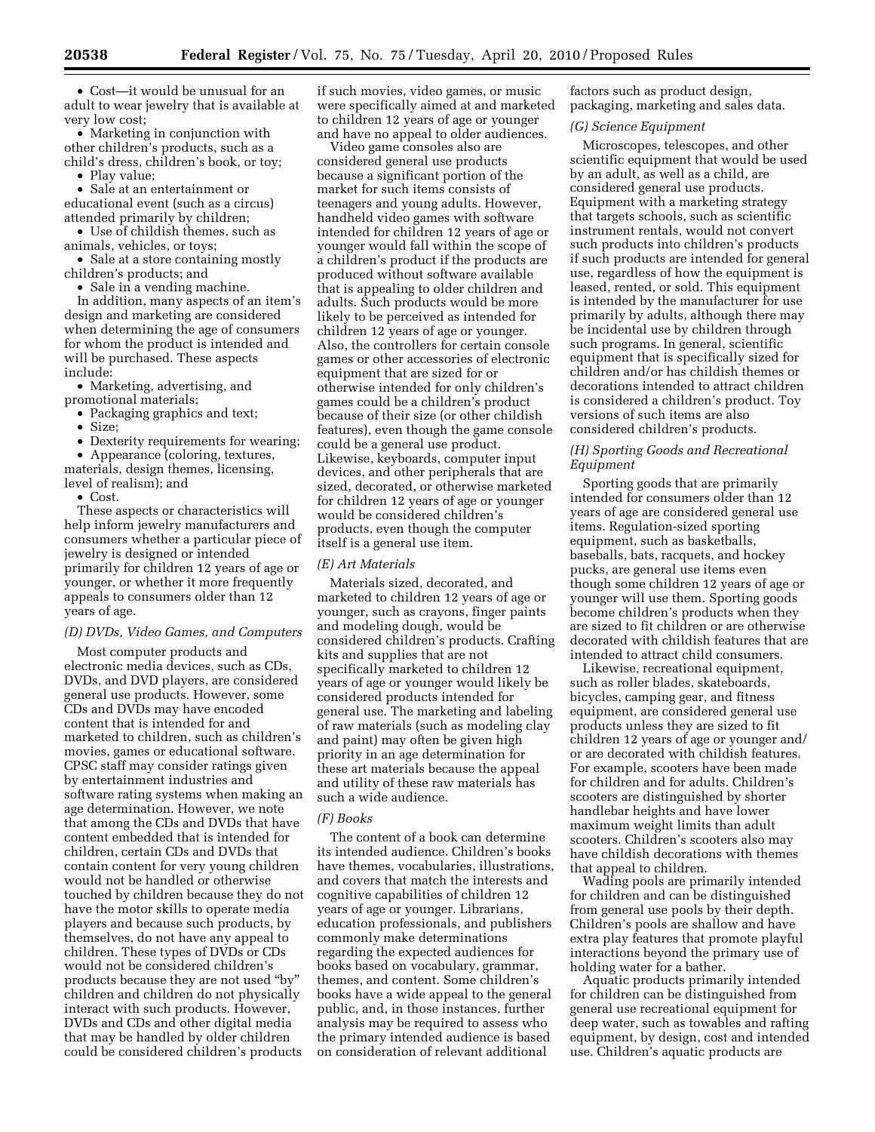• Cost—it would be unusual for an adult to wear jewelry that is available at very low cost;

• Marketing in conjunction with other children's products, such as a child's dress, children's book, or toy;

• Play value;

• Sale at an entertainment or educational event (such as a circus) attended primarily by children;

• Use of childish themes, such as animals, vehicles, or toys;

• Sale at a store containing mostly children's products; and

• Sale in a vending machine.

In addition, many aspects of an item's design and marketing are considered when determining the age of consumers for whom the product is intended and will be purchased. These aspects include:

• Marketing, advertising, and promotional materials;

- Packaging graphics and text;
- Size;
- Dexterity requirements for wearing;

• Appearance (coloring, textures, materials, design themes, licensing, level of realism); and

• Cost.

These aspects or characteristics will help inform jewelry manufacturers and consumers whether a particular piece of jewelry is designed or intended primarily for children 12 years of age or younger, or whether it more frequently appeals to consumers older than 12 years of age.

#### *(D) DVDs, Video Games, and Computers*

Most computer products and electronic media devices, such as CDs, DVDs, and DVD players, are considered general use products. However, some CDs and DVDs may have encoded content that is intended for and marketed to children, such as children's movies, games or educational software. CPSC staff may consider ratings given by entertainment industries and software rating systems when making an age determination. However, we note that among the CDs and DVDs that have content embedded that is intended for children, certain CDs and DVDs that contain content for very young children would not be handled or otherwise touched by children because they do not have the motor skills to operate media players and because such products, by themselves, do not have any appeal to children. These types of DVDs or CDs would not be considered children's products because they are not used ''by'' children and children do not physically interact with such products. However, DVDs and CDs and other digital media that may be handled by older children could be considered children's products

if such movies, video games, or music were specifically aimed at and marketed to children 12 years of age or younger and have no appeal to older audiences.

Video game consoles also are considered general use products because a significant portion of the market for such items consists of teenagers and young adults. However, handheld video games with software intended for children 12 years of age or younger would fall within the scope of a children's product if the products are produced without software available that is appealing to older children and adults. Such products would be more likely to be perceived as intended for children 12 years of age or younger. Also, the controllers for certain console games or other accessories of electronic equipment that are sized for or otherwise intended for only children's games could be a children's product because of their size (or other childish features), even though the game console could be a general use product. Likewise, keyboards, computer input devices, and other peripherals that are sized, decorated, or otherwise marketed for children 12 years of age or younger would be considered children's products, even though the computer itself is a general use item.

#### *(E) Art Materials*

Materials sized, decorated, and marketed to children 12 years of age or younger, such as crayons, finger paints and modeling dough, would be considered children's products. Crafting kits and supplies that are not specifically marketed to children 12 years of age or younger would likely be considered products intended for general use. The marketing and labeling of raw materials (such as modeling clay and paint) may often be given high priority in an age determination for these art materials because the appeal and utility of these raw materials has such a wide audience.

#### *(F) Books*

The content of a book can determine its intended audience. Children's books have themes, vocabularies, illustrations, and covers that match the interests and cognitive capabilities of children 12 years of age or younger. Librarians, education professionals, and publishers commonly make determinations regarding the expected audiences for books based on vocabulary, grammar, themes, and content. Some children's books have a wide appeal to the general public, and, in those instances, further analysis may be required to assess who the primary intended audience is based on consideration of relevant additional

factors such as product design, packaging, marketing and sales data.

#### *(G) Science Equipment*

Microscopes, telescopes, and other scientific equipment that would be used by an adult, as well as a child, are considered general use products. Equipment with a marketing strategy that targets schools, such as scientific instrument rentals, would not convert such products into children's products if such products are intended for general use, regardless of how the equipment is leased, rented, or sold. This equipment is intended by the manufacturer for use primarily by adults, although there may be incidental use by children through such programs. In general, scientific equipment that is specifically sized for children and/or has childish themes or decorations intended to attract children is considered a children's product. Toy versions of such items are also considered children's products.

# *(H) Sporting Goods and Recreational Equipment*

Sporting goods that are primarily intended for consumers older than 12 years of age are considered general use items. Regulation-sized sporting equipment, such as basketballs, baseballs, bats, racquets, and hockey pucks, are general use items even though some children 12 years of age or younger will use them. Sporting goods become children's products when they are sized to fit children or are otherwise decorated with childish features that are intended to attract child consumers.

Likewise, recreational equipment, such as roller blades, skateboards, bicycles, camping gear, and fitness equipment, are considered general use products unless they are sized to fit children 12 years of age or younger and/ or are decorated with childish features. For example, scooters have been made for children and for adults. Children's scooters are distinguished by shorter handlebar heights and have lower maximum weight limits than adult scooters. Children's scooters also may have childish decorations with themes that appeal to children.

Wading pools are primarily intended for children and can be distinguished from general use pools by their depth. Children's pools are shallow and have extra play features that promote playful interactions beyond the primary use of holding water for a bather.

Aquatic products primarily intended for children can be distinguished from general use recreational equipment for deep water, such as towables and rafting equipment, by design, cost and intended use. Children's aquatic products are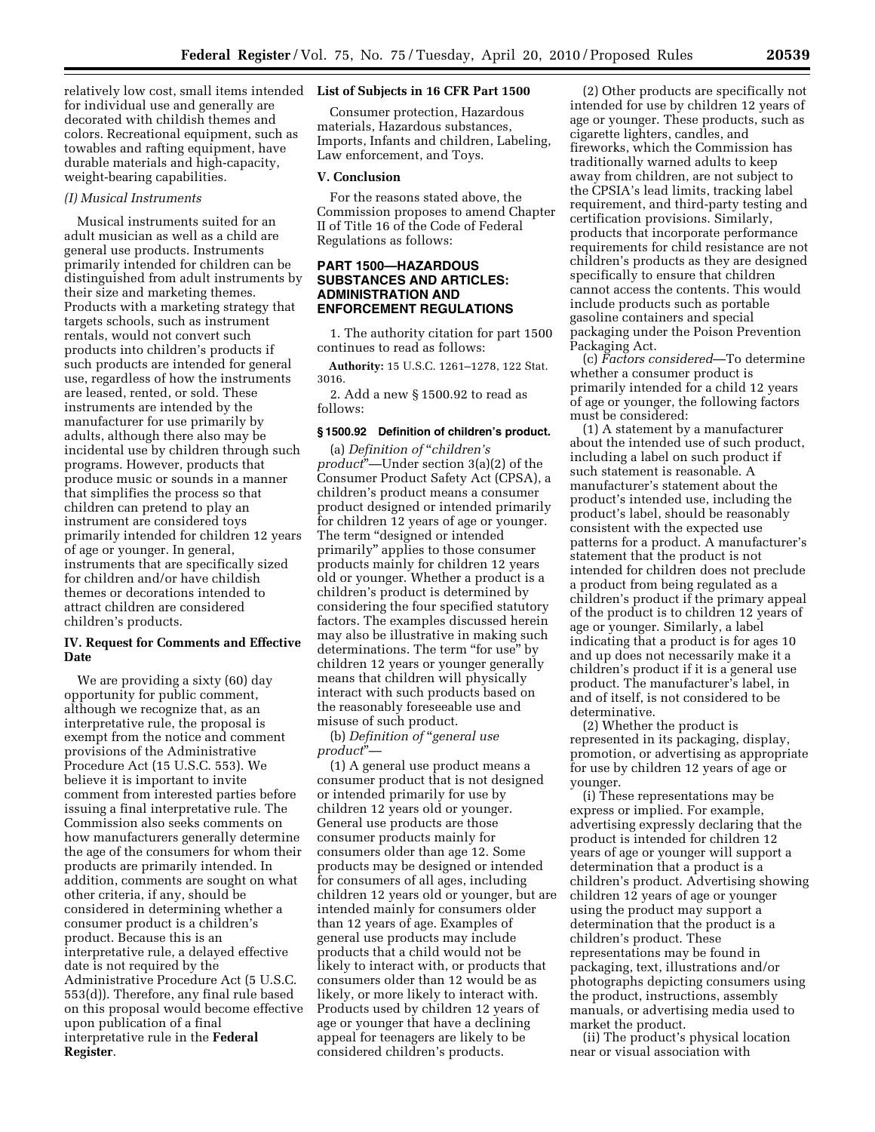relatively low cost, small items intended **List of Subjects in 16 CFR Part 1500**  for individual use and generally are decorated with childish themes and colors. Recreational equipment, such as towables and rafting equipment, have durable materials and high-capacity, weight-bearing capabilities.

# *(I) Musical Instruments*

Musical instruments suited for an adult musician as well as a child are general use products. Instruments primarily intended for children can be distinguished from adult instruments by their size and marketing themes. Products with a marketing strategy that targets schools, such as instrument rentals, would not convert such products into children's products if such products are intended for general use, regardless of how the instruments are leased, rented, or sold. These instruments are intended by the manufacturer for use primarily by adults, although there also may be incidental use by children through such programs. However, products that produce music or sounds in a manner that simplifies the process so that children can pretend to play an instrument are considered toys primarily intended for children 12 years of age or younger. In general, instruments that are specifically sized for children and/or have childish themes or decorations intended to attract children are considered children's products.

# **IV. Request for Comments and Effective Date**

We are providing a sixty (60) day opportunity for public comment, although we recognize that, as an interpretative rule, the proposal is exempt from the notice and comment provisions of the Administrative Procedure Act (15 U.S.C. 553). We believe it is important to invite comment from interested parties before issuing a final interpretative rule. The Commission also seeks comments on how manufacturers generally determine the age of the consumers for whom their products are primarily intended. In addition, comments are sought on what other criteria, if any, should be considered in determining whether a consumer product is a children's product. Because this is an interpretative rule, a delayed effective date is not required by the Administrative Procedure Act (5 U.S.C. 553(d)). Therefore, any final rule based on this proposal would become effective upon publication of a final interpretative rule in the **Federal Register**.

Consumer protection, Hazardous materials, Hazardous substances, Imports, Infants and children, Labeling, Law enforcement, and Toys.

#### **V. Conclusion**

For the reasons stated above, the Commission proposes to amend Chapter II of Title 16 of the Code of Federal Regulations as follows:

# **PART 1500—HAZARDOUS SUBSTANCES AND ARTICLES: ADMINISTRATION AND ENFORCEMENT REGULATIONS**

1. The authority citation for part 1500 continues to read as follows:

**Authority:** 15 U.S.C. 1261–1278, 122 Stat. 3016.

2. Add a new § 1500.92 to read as follows:

#### **§ 1500.92 Definition of children's product.**

(a) *Definition of* ''*children's product*''—Under section 3(a)(2) of the Consumer Product Safety Act (CPSA), a children's product means a consumer product designed or intended primarily for children 12 years of age or younger. The term "designed or intended primarily'' applies to those consumer products mainly for children 12 years old or younger. Whether a product is a children's product is determined by considering the four specified statutory factors. The examples discussed herein may also be illustrative in making such determinations. The term "for use" by children 12 years or younger generally means that children will physically interact with such products based on the reasonably foreseeable use and misuse of such product.

(b) *Definition of* ''*general use product*''—

(1) A general use product means a consumer product that is not designed or intended primarily for use by children 12 years old or younger. General use products are those consumer products mainly for consumers older than age 12. Some products may be designed or intended for consumers of all ages, including children 12 years old or younger, but are intended mainly for consumers older than 12 years of age. Examples of general use products may include products that a child would not be likely to interact with, or products that consumers older than 12 would be as likely, or more likely to interact with. Products used by children 12 years of age or younger that have a declining appeal for teenagers are likely to be considered children's products.

(2) Other products are specifically not intended for use by children 12 years of age or younger. These products, such as cigarette lighters, candles, and fireworks, which the Commission has traditionally warned adults to keep away from children, are not subject to the CPSIA's lead limits, tracking label requirement, and third-party testing and certification provisions. Similarly, products that incorporate performance requirements for child resistance are not children's products as they are designed specifically to ensure that children cannot access the contents. This would include products such as portable gasoline containers and special packaging under the Poison Prevention Packaging Act.

(c) *Factors considered*—To determine whether a consumer product is primarily intended for a child 12 years of age or younger, the following factors must be considered:

(1) A statement by a manufacturer about the intended use of such product, including a label on such product if such statement is reasonable. A manufacturer's statement about the product's intended use, including the product's label, should be reasonably consistent with the expected use patterns for a product. A manufacturer's statement that the product is not intended for children does not preclude a product from being regulated as a children's product if the primary appeal of the product is to children 12 years of age or younger. Similarly, a label indicating that a product is for ages 10 and up does not necessarily make it a children's product if it is a general use product. The manufacturer's label, in and of itself, is not considered to be determinative.

(2) Whether the product is represented in its packaging, display, promotion, or advertising as appropriate for use by children 12 years of age or younger.

(i) These representations may be express or implied. For example, advertising expressly declaring that the product is intended for children 12 years of age or younger will support a determination that a product is a children's product. Advertising showing children 12 years of age or younger using the product may support a determination that the product is a children's product. These representations may be found in packaging, text, illustrations and/or photographs depicting consumers using the product, instructions, assembly manuals, or advertising media used to market the product.

(ii) The product's physical location near or visual association with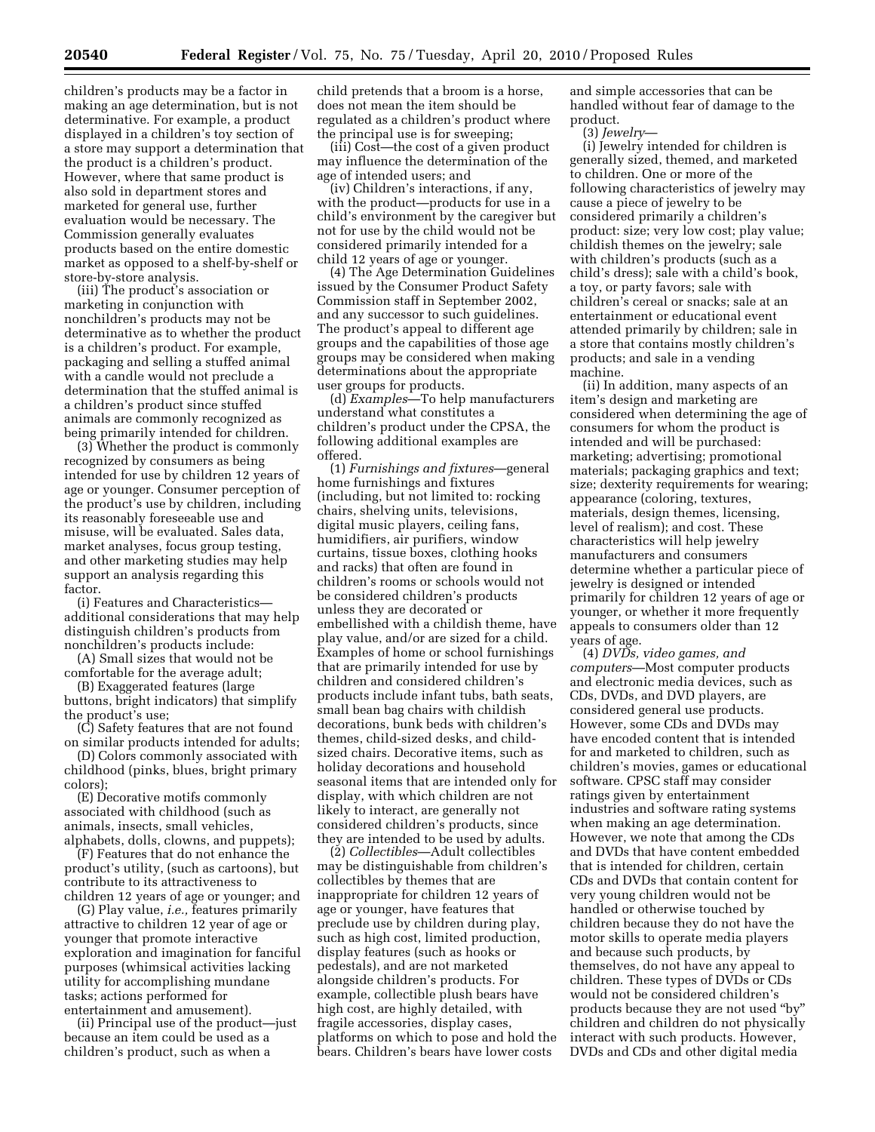children's products may be a factor in making an age determination, but is not determinative. For example, a product displayed in a children's toy section of a store may support a determination that the product is a children's product. However, where that same product is also sold in department stores and marketed for general use, further evaluation would be necessary. The Commission generally evaluates products based on the entire domestic market as opposed to a shelf-by-shelf or store-by-store analysis.

(iii) The product's association or marketing in conjunction with nonchildren's products may not be determinative as to whether the product is a children's product. For example, packaging and selling a stuffed animal with a candle would not preclude a determination that the stuffed animal is a children's product since stuffed animals are commonly recognized as being primarily intended for children.

(3) Whether the product is commonly recognized by consumers as being intended for use by children 12 years of age or younger. Consumer perception of the product's use by children, including its reasonably foreseeable use and misuse, will be evaluated. Sales data, market analyses, focus group testing, and other marketing studies may help support an analysis regarding this factor.

(i) Features and Characteristics additional considerations that may help distinguish children's products from nonchildren's products include:

(A) Small sizes that would not be comfortable for the average adult;

(B) Exaggerated features (large buttons, bright indicators) that simplify the product's use;

(C) Safety features that are not found on similar products intended for adults;

(D) Colors commonly associated with childhood (pinks, blues, bright primary colors);

(E) Decorative motifs commonly associated with childhood (such as animals, insects, small vehicles, alphabets, dolls, clowns, and puppets);

(F) Features that do not enhance the product's utility, (such as cartoons), but contribute to its attractiveness to children 12 years of age or younger; and

(G) Play value, *i.e.,* features primarily attractive to children 12 year of age or younger that promote interactive exploration and imagination for fanciful purposes (whimsical activities lacking utility for accomplishing mundane tasks; actions performed for entertainment and amusement).

(ii) Principal use of the product—just because an item could be used as a children's product, such as when a

child pretends that a broom is a horse, does not mean the item should be regulated as a children's product where the principal use is for sweeping;

(iii) Cost—the cost of a given product may influence the determination of the age of intended users; and

(iv) Children's interactions, if any, with the product—products for use in a child's environment by the caregiver but not for use by the child would not be considered primarily intended for a child 12 years of age or younger.

(4) The Age Determination Guidelines issued by the Consumer Product Safety Commission staff in September 2002, and any successor to such guidelines. The product's appeal to different age groups and the capabilities of those age groups may be considered when making determinations about the appropriate user groups for products.

(d) *Examples*—To help manufacturers understand what constitutes a children's product under the CPSA, the following additional examples are offered.

(1) *Furnishings and fixtures*—general home furnishings and fixtures (including, but not limited to: rocking chairs, shelving units, televisions, digital music players, ceiling fans, humidifiers, air purifiers, window curtains, tissue boxes, clothing hooks and racks) that often are found in children's rooms or schools would not be considered children's products unless they are decorated or embellished with a childish theme, have play value, and/or are sized for a child. Examples of home or school furnishings that are primarily intended for use by children and considered children's products include infant tubs, bath seats, small bean bag chairs with childish decorations, bunk beds with children's themes, child-sized desks, and childsized chairs. Decorative items, such as holiday decorations and household seasonal items that are intended only for display, with which children are not likely to interact, are generally not considered children's products, since they are intended to be used by adults.

(2) *Collectibles*—Adult collectibles may be distinguishable from children's collectibles by themes that are inappropriate for children 12 years of age or younger, have features that preclude use by children during play, such as high cost, limited production, display features (such as hooks or pedestals), and are not marketed alongside children's products. For example, collectible plush bears have high cost, are highly detailed, with fragile accessories, display cases, platforms on which to pose and hold the bears. Children's bears have lower costs

and simple accessories that can be handled without fear of damage to the product.

(3) *Jewelry*—

(i) Jewelry intended for children is generally sized, themed, and marketed to children. One or more of the following characteristics of jewelry may cause a piece of jewelry to be considered primarily a children's product: size; very low cost; play value; childish themes on the jewelry; sale with children's products (such as a child's dress); sale with a child's book, a toy, or party favors; sale with children's cereal or snacks; sale at an entertainment or educational event attended primarily by children; sale in a store that contains mostly children's products; and sale in a vending machine.

(ii) In addition, many aspects of an item's design and marketing are considered when determining the age of consumers for whom the product is intended and will be purchased: marketing; advertising; promotional materials; packaging graphics and text; size; dexterity requirements for wearing; appearance (coloring, textures, materials, design themes, licensing, level of realism); and cost. These characteristics will help jewelry manufacturers and consumers determine whether a particular piece of jewelry is designed or intended primarily for children 12 years of age or younger, or whether it more frequently appeals to consumers older than 12 years of age.

(4) *DVDs, video games, and computers*—Most computer products and electronic media devices, such as CDs, DVDs, and DVD players, are considered general use products. However, some CDs and DVDs may have encoded content that is intended for and marketed to children, such as children's movies, games or educational software. CPSC staff may consider ratings given by entertainment industries and software rating systems when making an age determination. However, we note that among the CDs and DVDs that have content embedded that is intended for children, certain CDs and DVDs that contain content for very young children would not be handled or otherwise touched by children because they do not have the motor skills to operate media players and because such products, by themselves, do not have any appeal to children. These types of DVDs or CDs would not be considered children's products because they are not used "by" children and children do not physically interact with such products. However, DVDs and CDs and other digital media